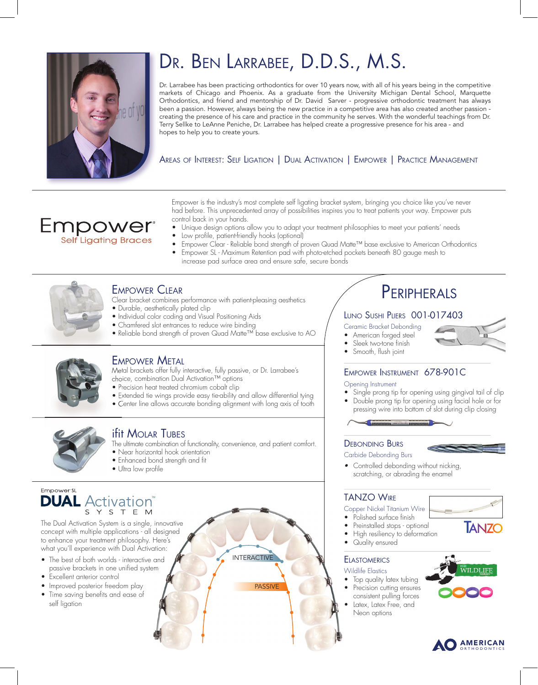

**Empower Self Ligating Braces** 

# DR. BEN LARRABEE, D.D.S., M.S.

Dr. Larrabee has been practicing orthodontics for over 10 years now, with all of his years being in the competitive markets of Chicago and Phoenix. As a graduate from the University Michigan Dental School, Marquette Orthodontics, and friend and mentorship of Dr. David Sarver - progressive orthodontic treatment has always been a passion. However, always being the new practice in a competitive area has also created another passion creating the presence of his care and practice in the community he serves. With the wonderful teachings from Dr. Terry Sellke to LeAnne Peniche, Dr. Larrabee has helped create a progressive presence for his area - and hopes to help you to create yours.

AREAS OF INTEREST: SELF LIGATION | DUAL ACTIVATION | EMPOWER | PRACTICE MANAGEMENT

Empower is the industry's most complete self ligating bracket system, bringing you choice like you've never had before. This unprecedented array of possibilities inspires you to treat patients your way. Empower puts control back in your hands.

- Unique design options allow you to adapt your treatment philosophies to meet your patients' needs • Low profile, patient-friendly hooks (optional)
- 
- Empower Clear Reliable bond strength of proven Quad Matte™ base exclusive to American Orthodontics • Empower SL - Maximum Retention pad with photo-etched pockets beneath 80 gauge mesh to
	- increase pad surface area and ensure safe, secure bonds



# EMPOWER CLEAR

- Clear bracket combines performance with patient-pleasing aesthetics • Durable, aesthetically plated clip
- Individual color coding and Visual Positioning Aids
- Chamfered slot entrances to reduce wire binding
- Reliable bond strength of proven Quad Matte™ base exclusive to AO



### EMPOWER METAL

Metal brackets offer fully interactive, fully passive, or Dr. Larrabee's choice, combination Dual Activation™ options

- Precision heat treated chromium cobalt clip
- Extended tie wings provide easy tie-ability and allow differential tying
- Center line allows accurate bonding alignment with long axis of tooth



## **ifit Molar Tubes**

The ultimate combination of functionality, convenience, and patient comfort.

INTERACTIVE

**PASSIVE** 

- Near horizontal hook orientation
- Enhanced bond strength and fit
- Ultra low profile

#### Empower SL **DUAL** Activation® Y S T E M

The Dual Activation System is a single, innovative concept with multiple applications - all designed to enhance your treatment philosophy. Here's what you'll experience with Dual Activation:

- The best of both worlds interactive and passive brackets in one unified system
- Excellent anterior control
- Improved posterior freedom play
- Time saving benefits and ease of self ligation

# **PERIPHERALS**

#### LUNO SUSHI PLIERS 001-017403

- Ceramic Bracket Debonding
- American forged steel
- Sleek two-tone finish
- Smooth, flush joint

### EMPOWER INSTRUMENT 678-901C

#### Opening Instrument

- Single prong tip for opening using gingival tail of clip
- Double prong tip for opening using facial hole or for pressing wire into bottom of slot during clip closing



#### DEBONDING BURS

Carbide Debonding Burs



**TAN7O** 

*•* Controlled debonding without nicking, scratching, or abrading the enamel

#### TANZO WIRE

#### Copper Nickel Titanium Wire

- Polished surface finish
- Preinstalled stops optional
- High resiliency to deformation
- Quality ensured

#### **ELASTOMERICS**

Wildlife Elastics



- consistent pulling forces
- Latex, Latex Free, and Neon options